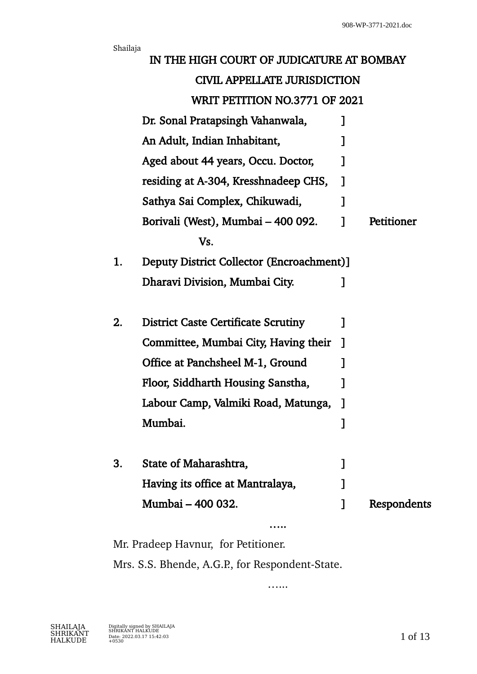|                                                 | Shailaja                                                             |                                            |             |             |
|-------------------------------------------------|----------------------------------------------------------------------|--------------------------------------------|-------------|-------------|
|                                                 |                                                                      | IN THE HIGH COURT OF JUDICATURE AT BOMBAY  |             |             |
|                                                 | <b>CIVIL APPELLATE JURISDICTION</b><br>WRIT PETITION NO.3771 OF 2021 |                                            |             |             |
|                                                 |                                                                      |                                            |             |             |
|                                                 |                                                                      | Dr. Sonal Pratapsingh Vahanwala,           | $\mathbf l$ |             |
|                                                 |                                                                      | An Adult, Indian Inhabitant,               |             |             |
|                                                 |                                                                      | Aged about 44 years, Occu. Doctor,         |             |             |
|                                                 |                                                                      | residing at A-304, Kresshnadeep CHS,       | 1           |             |
|                                                 |                                                                      | Sathya Sai Complex, Chikuwadi,             | 1           |             |
|                                                 |                                                                      | Borivali (West), Mumbai – 400 092.         | 1           | Petitioner  |
|                                                 |                                                                      | Vs.                                        |             |             |
| Deputy District Collector (Encroachment)]<br>1. |                                                                      |                                            |             |             |
|                                                 |                                                                      | Dharavi Division, Mumbai City.             | 1           |             |
|                                                 |                                                                      |                                            |             |             |
|                                                 | 2.                                                                   | <b>District Caste Certificate Scrutiny</b> | 1           |             |
|                                                 |                                                                      | Committee, Mumbai City, Having their       | $\mathbf 1$ |             |
|                                                 |                                                                      | Office at Panchsheel M-1, Ground           |             |             |
|                                                 |                                                                      | Floor, Siddharth Housing Sanstha,          |             |             |
|                                                 |                                                                      | Labour Camp, Valmiki Road, Matunga,        |             |             |
|                                                 |                                                                      | Mumbai.                                    |             |             |
|                                                 |                                                                      |                                            |             |             |
|                                                 | 3.                                                                   | State of Maharashtra,                      |             |             |
|                                                 |                                                                      | Having its office at Mantralaya,           |             |             |
|                                                 |                                                                      | Mumbai - 400 032.                          |             | Respondents |
|                                                 |                                                                      |                                            |             |             |

Mr. Pradeep Havnur, for Petitioner. Mrs. S.S. Bhende, A.G.P., for Respondent-State.

…..

…...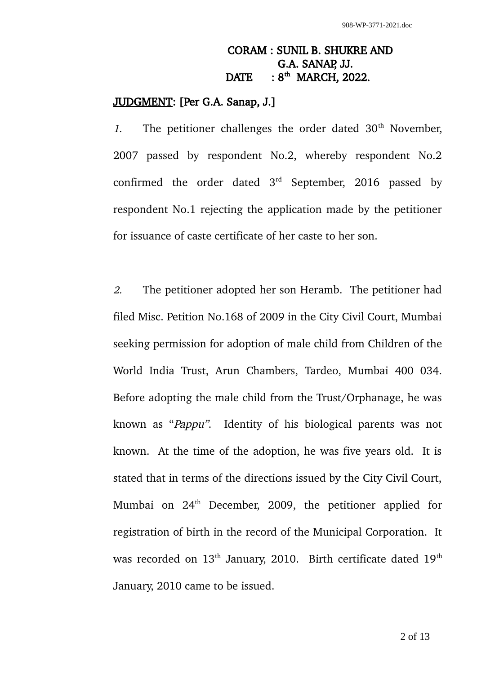## CORAM : SUNIL B. SHUKRE AND G.A. SANAP, JJ. DATE :  $8<sup>th</sup>$  MARCH, 2022.

## JUDGMENT: [Per G.A. Sanap, J.]

1. The petitioner challenges the order dated  $30<sup>th</sup>$  November, 2007 passed by respondent No.2, whereby respondent No.2 confirmed the order dated  $3<sup>rd</sup>$  September, 2016 passed by respondent No.1 rejecting the application made by the petitioner for issuance of caste certificate of her caste to her son.

2. The petitioner adopted her son Heramb. The petitioner had filed Misc. Petition No.168 of 2009 in the City Civil Court, Mumbai seeking permission for adoption of male child from Children of the World India Trust, Arun Chambers, Tardeo, Mumbai 400 034. Before adopting the male child from the Trust/Orphanage, he was known as "Pappu". Identity of his biological parents was not known. At the time of the adoption, he was five years old. It is stated that in terms of the directions issued by the City Civil Court, Mumbai on 24<sup>th</sup> December, 2009, the petitioner applied for registration of birth in the record of the Municipal Corporation. It was recorded on 13<sup>th</sup> January, 2010. Birth certificate dated 19<sup>th</sup> January, 2010 came to be issued.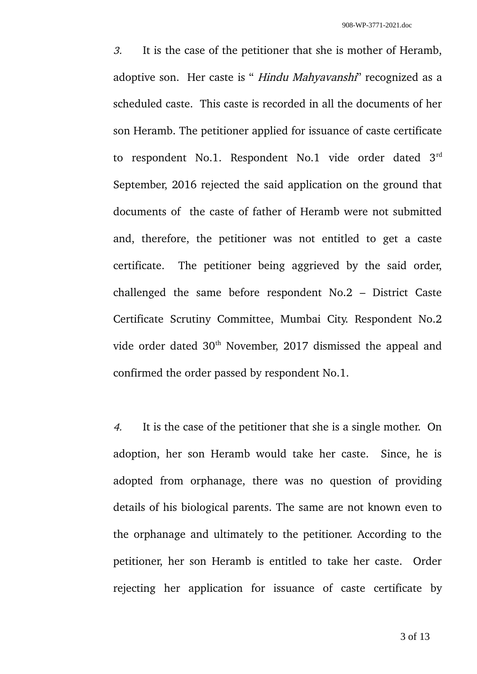3. It is the case of the petitioner that she is mother of Heramb, adoptive son. Her caste is " *Hindu Mahyavanshi*" recognized as a scheduled caste. This caste is recorded in all the documents of her son Heramb. The petitioner applied for issuance of caste certificate to respondent No.1. Respondent No.1 vide order dated 3rd September, 2016 rejected the said application on the ground that documents of the caste of father of Heramb were not submitted and, therefore, the petitioner was not entitled to get a caste certificate. The petitioner being aggrieved by the said order, challenged the same before respondent No.2 – District Caste Certificate Scrutiny Committee, Mumbai City. Respondent No.2 vide order dated 30<sup>th</sup> November, 2017 dismissed the appeal and confirmed the order passed by respondent No.1.

4. It is the case of the petitioner that she is a single mother. On adoption, her son Heramb would take her caste. Since, he is adopted from orphanage, there was no question of providing details of his biological parents. The same are not known even to the orphanage and ultimately to the petitioner. According to the petitioner, her son Heramb is entitled to take her caste. Order rejecting her application for issuance of caste certificate by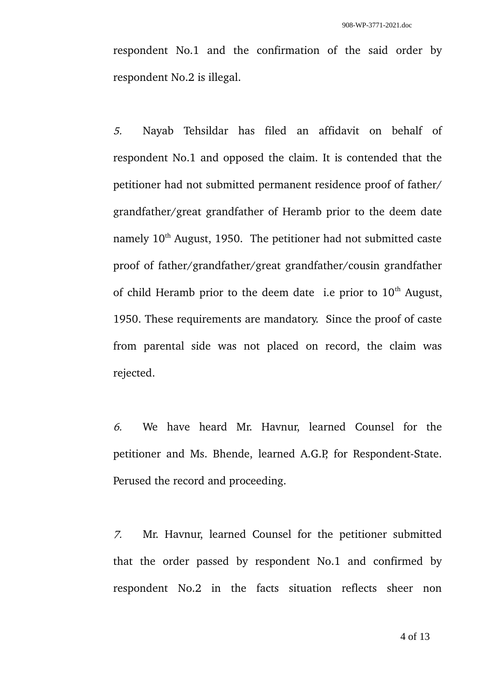respondent No.1 and the confirmation of the said order by respondent No.2 is illegal.

5. Nayab Tehsildar has filed an affidavit on behalf of respondent No.1 and opposed the claim. It is contended that the petitioner had not submitted permanent residence proof of father/ grandfather/great grandfather of Heramb prior to the deem date namely 10<sup>th</sup> August, 1950. The petitioner had not submitted caste proof of father/grandfather/great grandfather/cousin grandfather of child Heramb prior to the deem date i.e prior to  $10<sup>th</sup>$  August, 1950. These requirements are mandatory. Since the proof of caste from parental side was not placed on record, the claim was rejected.

6. We have heard Mr. Havnur, learned Counsel for the petitioner and Ms. Bhende, learned A.G.P, for Respondent-State. Perused the record and proceeding.

7. Mr. Havnur, learned Counsel for the petitioner submitted that the order passed by respondent No.1 and confirmed by respondent No.2 in the facts situation reflects sheer non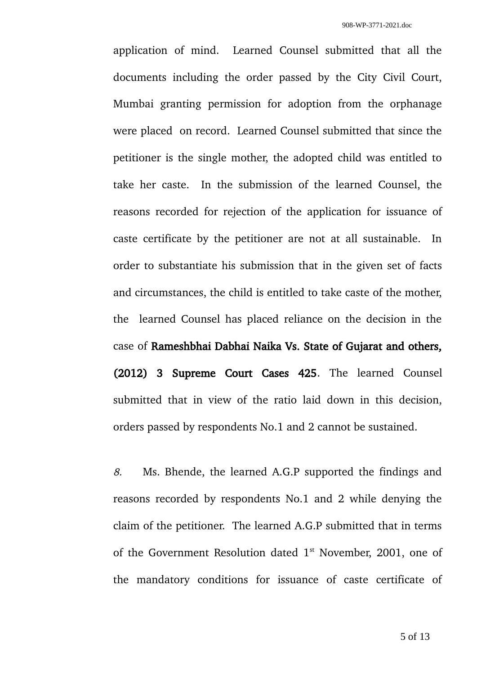application of mind. Learned Counsel submitted that all the documents including the order passed by the City Civil Court, Mumbai granting permission for adoption from the orphanage were placed on record. Learned Counsel submitted that since the petitioner is the single mother, the adopted child was entitled to take her caste. In the submission of the learned Counsel, the reasons recorded for rejection of the application for issuance of caste certificate by the petitioner are not at all sustainable. In order to substantiate his submission that in the given set of facts and circumstances, the child is entitled to take caste of the mother, the learned Counsel has placed reliance on the decision in the case of Rameshbhai Dabhai Naika Vs. State of Gujarat and others, (2012) 3 Supreme Court Cases 425. The learned Counsel submitted that in view of the ratio laid down in this decision, orders passed by respondents No.1 and 2 cannot be sustained.

8. Ms. Bhende, the learned A.G.P supported the findings and reasons recorded by respondents No.1 and 2 while denying the claim of the petitioner. The learned A.G.P submitted that in terms of the Government Resolution dated  $1<sup>st</sup>$  November, 2001, one of the mandatory conditions for issuance of caste certificate of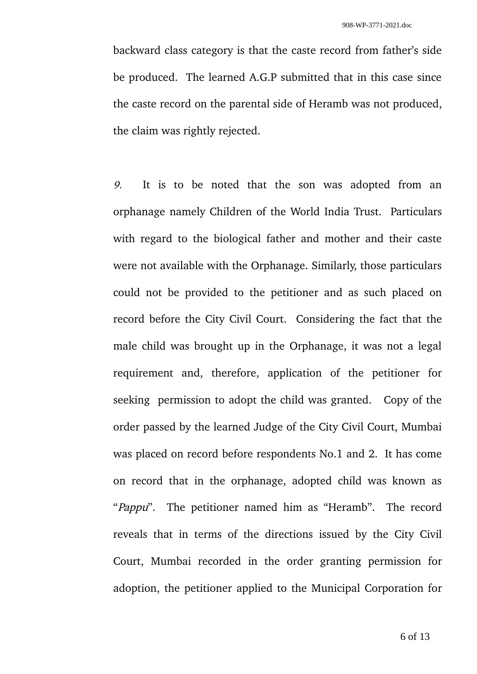backward class category is that the caste record from father's side be produced. The learned A.G.P submitted that in this case since the caste record on the parental side of Heramb was not produced, the claim was rightly rejected.

9. It is to be noted that the son was adopted from an orphanage namely Children of the World India Trust. Particulars with regard to the biological father and mother and their caste were not available with the Orphanage. Similarly, those particulars could not be provided to the petitioner and as such placed on record before the City Civil Court. Considering the fact that the male child was brought up in the Orphanage, it was not a legal requirement and, therefore, application of the petitioner for seeking permission to adopt the child was granted. Copy of the order passed by the learned Judge of the City Civil Court, Mumbai was placed on record before respondents No.1 and 2. It has come on record that in the orphanage, adopted child was known as "Pappu". The petitioner named him as "Heramb". The record reveals that in terms of the directions issued by the City Civil Court, Mumbai recorded in the order granting permission for adoption, the petitioner applied to the Municipal Corporation for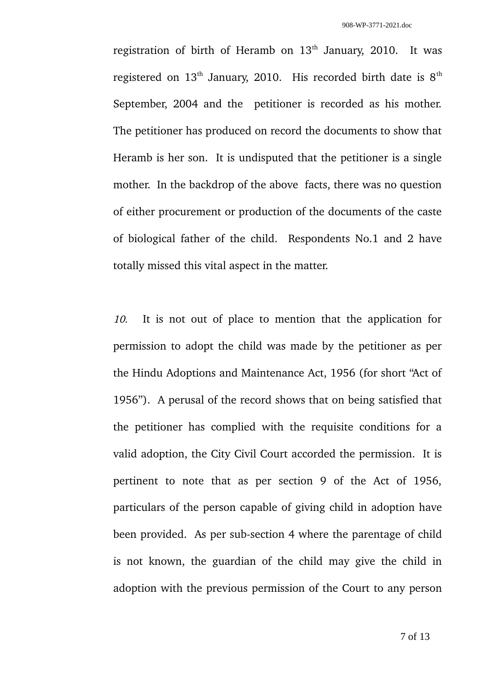registration of birth of Heramb on  $13<sup>th</sup>$  January, 2010. It was registered on  $13<sup>th</sup>$  January, 2010. His recorded birth date is  $8<sup>th</sup>$ September, 2004 and the petitioner is recorded as his mother. The petitioner has produced on record the documents to show that Heramb is her son. It is undisputed that the petitioner is a single mother. In the backdrop of the above facts, there was no question of either procurement or production of the documents of the caste of biological father of the child. Respondents No.1 and 2 have totally missed this vital aspect in the matter.

10. It is not out of place to mention that the application for permission to adopt the child was made by the petitioner as per the Hindu Adoptions and Maintenance Act, 1956 (for short "Act of 1956"). A perusal of the record shows that on being satisfied that the petitioner has complied with the requisite conditions for a valid adoption, the City Civil Court accorded the permission. It is pertinent to note that as per section 9 of the Act of 1956, particulars of the person capable of giving child in adoption have been provided. As per sub-section 4 where the parentage of child is not known, the guardian of the child may give the child in adoption with the previous permission of the Court to any person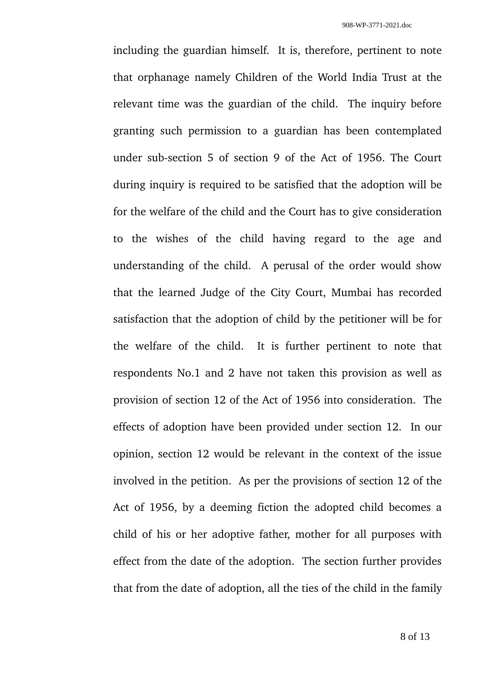including the guardian himself. It is, therefore, pertinent to note that orphanage namely Children of the World India Trust at the relevant time was the guardian of the child. The inquiry before granting such permission to a guardian has been contemplated under sub-section 5 of section 9 of the Act of 1956. The Court during inquiry is required to be satisfied that the adoption will be for the welfare of the child and the Court has to give consideration to the wishes of the child having regard to the age and understanding of the child. A perusal of the order would show that the learned Judge of the City Court, Mumbai has recorded satisfaction that the adoption of child by the petitioner will be for the welfare of the child. It is further pertinent to note that respondents No.1 and 2 have not taken this provision as well as provision of section 12 of the Act of 1956 into consideration. The effects of adoption have been provided under section 12. In our opinion, section 12 would be relevant in the context of the issue involved in the petition. As per the provisions of section 12 of the Act of 1956, by a deeming fiction the adopted child becomes a child of his or her adoptive father, mother for all purposes with effect from the date of the adoption. The section further provides that from the date of adoption, all the ties of the child in the family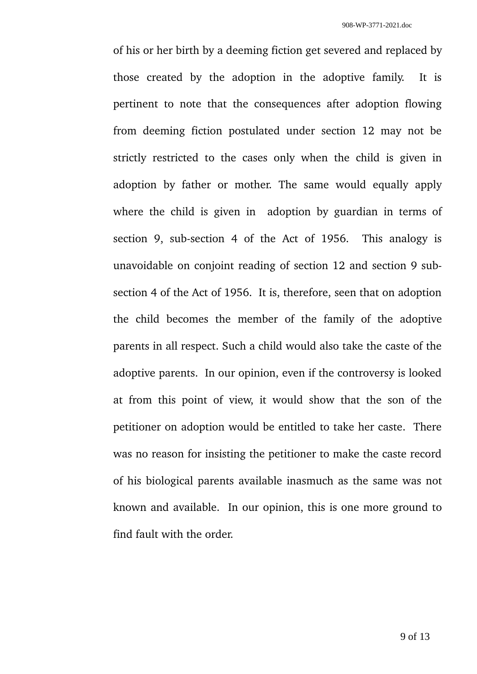of his or her birth by a deeming fiction get severed and replaced by those created by the adoption in the adoptive family. It is pertinent to note that the consequences after adoption flowing from deeming fiction postulated under section 12 may not be strictly restricted to the cases only when the child is given in adoption by father or mother. The same would equally apply where the child is given in adoption by guardian in terms of section 9, sub-section 4 of the Act of 1956. This analogy is unavoidable on conjoint reading of section 12 and section 9 subsection 4 of the Act of 1956. It is, therefore, seen that on adoption the child becomes the member of the family of the adoptive parents in all respect. Such a child would also take the caste of the adoptive parents. In our opinion, even if the controversy is looked at from this point of view, it would show that the son of the petitioner on adoption would be entitled to take her caste. There was no reason for insisting the petitioner to make the caste record of his biological parents available inasmuch as the same was not known and available. In our opinion, this is one more ground to find fault with the order.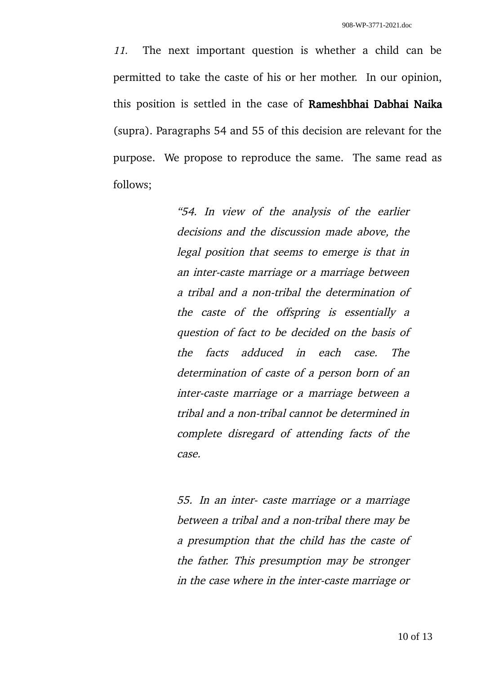11. The next important question is whether a child can be permitted to take the caste of his or her mother. In our opinion, this position is settled in the case of Rameshbhai Dabhai Naika (supra). Paragraphs 54 and 55 of this decision are relevant for the purpose. We propose to reproduce the same. The same read as follows;

> "54. In view of the analysis of the earlier decisions and the discussion made above, the legal position that seems to emerge is that in an inter-caste marriage or a marriage between a tribal and a non-tribal the determination of the caste of the offspring is essentially <sup>a</sup> question of fact to be decided on the basis of the facts adduced in each case. The determination of caste of a person born of an inter-caste marriage or a marriage between a tribal and a non-tribal cannot be determined in complete disregard of attending facts of the case.

> 55. In an inter- caste marriage or a marriage between a tribal and a non-tribal there may be a presumption that the child has the caste of the father. This presumption may be stronger in the case where in the inter-caste marriage or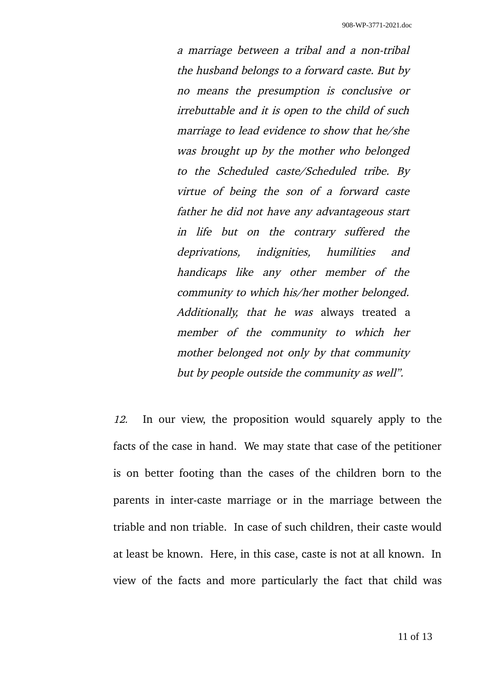a marriage between a tribal and a non-tribal the husband belongs to a forward caste. But by no means the presumption is conclusive or irrebuttable and it is open to the child of such marriage to lead evidence to show that he/she was brought up by the mother who belonged to the Scheduled caste/Scheduled tribe. By virtue of being the son of <sup>a</sup> forward caste father he did not have any advantageous start in life but on the contrary suffered the deprivations, indignities, humilities and handicaps like any other member of the community to which his/her mother belonged. Additionally, that he was always treated a member of the community to which her mother belonged not only by that community but by people outside the community as well".

12. In our view, the proposition would squarely apply to the facts of the case in hand. We may state that case of the petitioner is on better footing than the cases of the children born to the parents in inter-caste marriage or in the marriage between the triable and non triable. In case of such children, their caste would at least be known. Here, in this case, caste is not at all known. In view of the facts and more particularly the fact that child was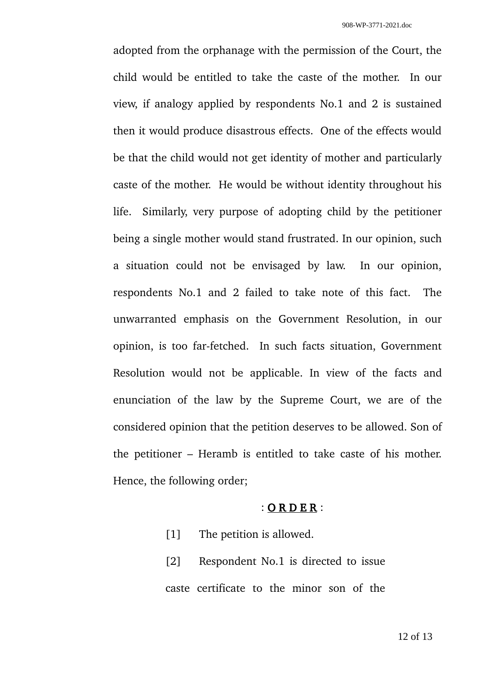adopted from the orphanage with the permission of the Court, the child would be entitled to take the caste of the mother. In our view, if analogy applied by respondents No.1 and 2 is sustained then it would produce disastrous effects. One of the effects would be that the child would not get identity of mother and particularly caste of the mother. He would be without identity throughout his life. Similarly, very purpose of adopting child by the petitioner being a single mother would stand frustrated. In our opinion, such a situation could not be envisaged by law. In our opinion, respondents No.1 and 2 failed to take note of this fact. The unwarranted emphasis on the Government Resolution, in our opinion, is too far-fetched. In such facts situation, Government Resolution would not be applicable. In view of the facts and enunciation of the law by the Supreme Court, we are of the considered opinion that the petition deserves to be allowed. Son of the petitioner – Heramb is entitled to take caste of his mother. Hence, the following order;

## : O R D E R :

- [1] The petition is allowed.
- [2] Respondent No.1 is directed to issue caste certificate to the minor son of the

12 of 13